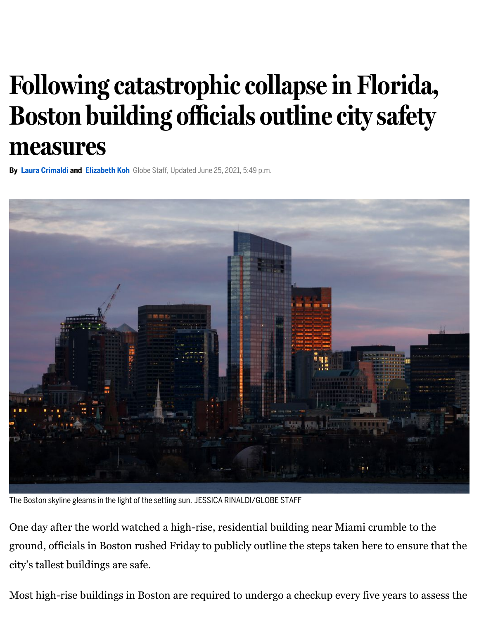## **Following catastrophiccollapse in Florida, Boston building officials outline citysafety measures**

**By Laura [Crimaldi](https://www.bostonglobe.com/about/staff-list/staff/laura-crimaldi/?p1=Article_Byline) and [Elizabeth](https://www.bostonglobe.com/about/staff-list/staff/elizabeth-koh/?p1=Article_Byline) Koh** Globe Staff, Updated June 25, 2021, 5:49 p.m.



The Boston skyline gleams in the light of the setting sun. JESSICA RINALDI/GLOBE STAFF

One day after the world watched a high-rise, residential building near Miami crumble to the ground, officials in Boston rushed Friday to publicly outline the steps taken here to ensure that the city's tallest buildings are safe.

Most high-rise buildings in Boston are required to undergo a checkup every five years to assess the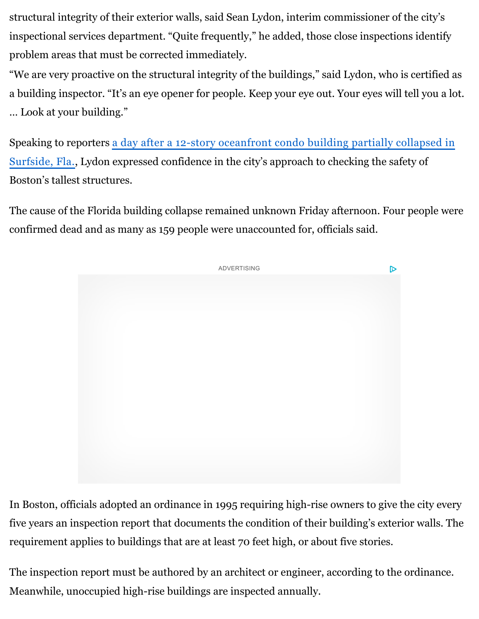structural integrity of their exterior walls, said Sean Lydon, interim commissioner of the city's inspectional services department. "Quite frequently," he added, those close inspections identify problem areas that must be corrected immediately.

"We are very proactive on the structural integrity of the buildings," said Lydon, who is certified as a building inspector. "It's an eye opener for people. Keep your eye out. Your eyes will tell you a lot. … Look at your building."

Speaking to reporters a day after a 12-story oceanfront condo building partially collapsed in Surfside, [Fla., Lydon expressed confidence in the city's approach to checking the safety of](https://www.bostonglobe.com/2021/06/24/nation/multi-level-building-collapses-miami/?p1=Article_Inline_Text_Link&p1=Article_Inline_Text_Link) Boston's tallest structures.

The cause of the Florida building collapse remained unknown Friday afternoon. Four people were confirmed dead and as many as 159 people were unaccounted for, officials said.



In Boston, officials adopted an ordinance in 1995 requiring high-rise owners to give the city every five years an inspection report that documents the condition of their building's exterior walls. The requirement applies to buildings that are at least 70 feet high, or about five stories.

The inspection report must be authored by an architect or engineer, according to the ordinance. Meanwhile, unoccupied high-rise buildings are inspected annually.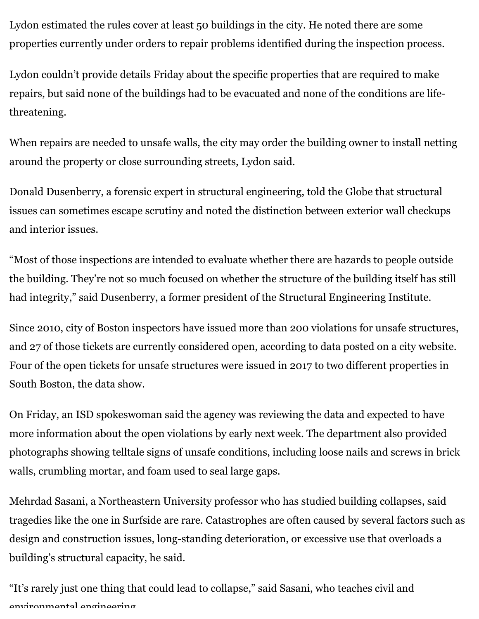Lydon estimated the rules cover at least 50 buildings in the city. He noted there are some properties currently under orders to repair problems identified during the inspection process.

Lydon couldn't provide details Friday about the specific properties that are required to make repairs, but said none of the buildings had to be evacuated and none of the conditions are lifethreatening.

When repairs are needed to unsafe walls, the city may order the building owner to install netting around the property or close surrounding streets, Lydon said.

Donald Dusenberry, a forensic expert in structural engineering, told the Globe that structural issues can sometimes escape scrutiny and noted the distinction between exterior wall checkups and interior issues.

"Most of those inspections are intended to evaluate whether there are hazards to people outside the building. They're not so much focused on whether the structure of the building itself has still had integrity," said Dusenberry, a former president of the Structural Engineering Institute.

Since 2010, city of Boston inspectors have issued more than 200 violations for unsafe structures, and 27 of those tickets are currently considered open, according to data posted on a city website. Four of the open tickets for unsafe structures were issued in 2017 to two different properties in South Boston, the data show.

On Friday, an ISD spokeswoman said the agency was reviewing the data and expected to have more information about the open violations by early next week. The department also provided photographs showing telltale signs of unsafe conditions, including loose nails and screws in brick walls, crumbling mortar, and foam used to seal large gaps.

Mehrdad Sasani, a Northeastern University professor who has studied building collapses, said tragedies like the one in Surfside are rare. Catastrophes are often caused by several factors such as design and construction issues, long-standing deterioration, or excessive use that overloads a building's structural capacity, he said.

"It's rarely just one thing that could lead to collapse," said Sasani, who teaches civil and environmental engineering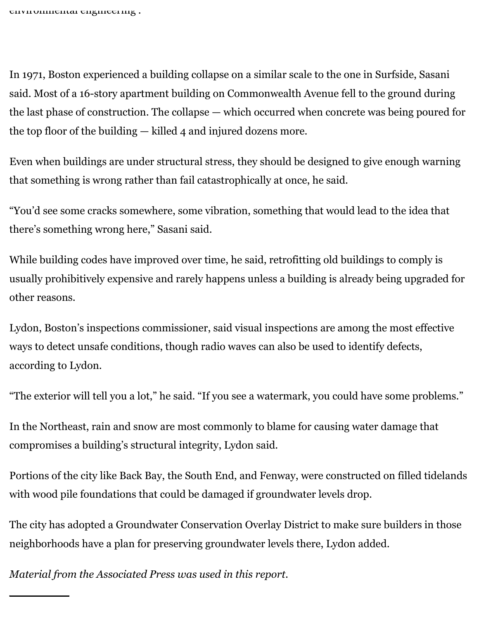In 1971, Boston experienced a building collapse on a similar scale to the one in Surfside, Sasani said. Most of a 16-story apartment building on Commonwealth Avenue fell to the ground during the last phase of construction. The collapse — which occurred when concrete was being poured for the top floor of the building — killed 4 and injured dozens more.

Even when buildings are under structural stress, they should be designed to give enough warning that something is wrong rather than fail catastrophically at once, he said.

"You'd see some cracks somewhere, some vibration, something that would lead to the idea that there's something wrong here," Sasani said.

While building codes have improved over time, he said, retrofitting old buildings to comply is usually prohibitively expensive and rarely happens unless a building is already being upgraded for other reasons.

Lydon, Boston's inspections commissioner, said visual inspections are among the most effective ways to detect unsafe conditions, though radio waves can also be used to identify defects, according to Lydon.

"The exterior will tell you a lot," he said. "If you see a watermark, you could have some problems."

In the Northeast, rain and snow are most commonly to blame for causing water damage that compromises a building's structural integrity, Lydon said.

Portions of the city like Back Bay, the South End, and Fenway, were constructed on filled tidelands with wood pile foundations that could be damaged if groundwater levels drop.

The city has adopted a Groundwater Conservation Overlay District to make sure builders in those neighborhoods have a plan for preserving groundwater levels there, Lydon added.

*Material from the Associated Press was used in this report.*